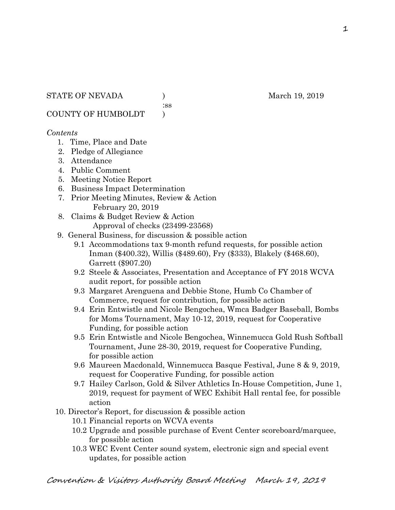:ss

COUNTY OF HUMBOLDT )

### *Contents*

- 1. Time, Place and Date
- 2. Pledge of Allegiance
- 3. Attendance
- 4. Public Comment
- 5. Meeting Notice Report
- 6. Business Impact Determination
- 7. Prior Meeting Minutes, Review & Action February 20, 2019
- 8. Claims & Budget Review & Action Approval of checks (23499-23568)
- 9. General Business, for discussion & possible action
	- 9.1 Accommodations tax 9-month refund requests, for possible action Inman (\$400.32), Willis (\$489.60), Fry (\$333), Blakely (\$468.60), Garrett (\$907.20)
	- 9.2 Steele & Associates, Presentation and Acceptance of FY 2018 WCVA audit report, for possible action
	- 9.3 Margaret Arenguena and Debbie Stone, Humb Co Chamber of Commerce, request for contribution, for possible action
	- 9.4 Erin Entwistle and Nicole Bengochea, Wmca Badger Baseball, Bombs for Moms Tournament, May 10-12, 2019, request for Cooperative Funding, for possible action
	- 9.5 Erin Entwistle and Nicole Bengochea, Winnemucca Gold Rush Softball Tournament, June 28-30, 2019, request for Cooperative Funding, for possible action
	- 9.6 Maureen Macdonald, Winnemucca Basque Festival, June 8 & 9, 2019, request for Cooperative Funding, for possible action
	- 9.7 Hailey Carlson, Gold & Silver Athletics In-House Competition, June 1, 2019, request for payment of WEC Exhibit Hall rental fee, for possible action
- 10. Director's Report, for discussion & possible action
	- 10.1 Financial reports on WCVA events
	- 10.2 Upgrade and possible purchase of Event Center scoreboard/marquee, for possible action
	- 10.3 WEC Event Center sound system, electronic sign and special event updates, for possible action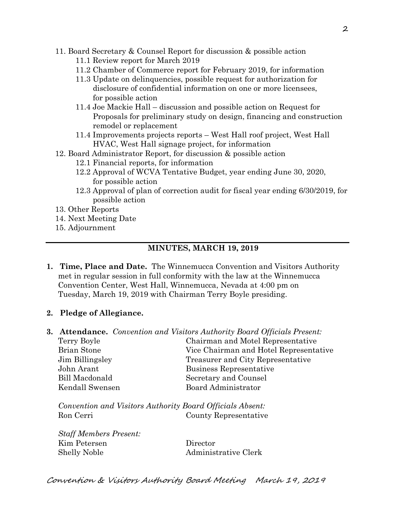- 11. Board Secretary & Counsel Report for discussion & possible action
	- 11.1 Review report for March 2019
	- 11.2 Chamber of Commerce report for February 2019, for information
	- 11.3 Update on delinquencies, possible request for authorization for disclosure of confidential information on one or more licensees, for possible action
	- 11.4 Joe Mackie Hall discussion and possible action on Request for Proposals for preliminary study on design, financing and construction remodel or replacement
	- 11.4 Improvements projects reports West Hall roof project, West Hall HVAC, West Hall signage project, for information
- 12. Board Administrator Report, for discussion & possible action
	- 12.1 Financial reports, for information
	- 12.2 Approval of WCVA Tentative Budget, year ending June 30, 2020, for possible action
	- 12.3 Approval of plan of correction audit for fiscal year ending 6/30/2019, for possible action
- 13. Other Reports
- 14. Next Meeting Date
- 15. Adjournment

# **MINUTES, MARCH 19, 2019**

- **1. Time, Place and Date.** The Winnemucca Convention and Visitors Authority met in regular session in full conformity with the law at the Winnemucca Convention Center, West Hall, Winnemucca, Nevada at 4:00 pm on Tuesday, March 19, 2019 with Chairman Terry Boyle presiding.
- **2. Pledge of Allegiance.**

*Staff Members Present:*

|                    | <b>3. Attendance.</b> Convention and Visitors Authority Board Officials Present: |
|--------------------|----------------------------------------------------------------------------------|
| Terry Boyle        | Chairman and Motel Representative                                                |
| <b>Brian Stone</b> | Vice Chairman and Hotel Representative                                           |
| Jim Billingsley    | Treasurer and City Representative                                                |
| John Arant         | Business Representative                                                          |
| Bill Macdonald     | Secretary and Counsel                                                            |
| Kendall Swensen    | <b>Board Administrator</b>                                                       |
|                    |                                                                                  |

*Convention and Visitors Authority Board Officials Absent:* Ron Cerri County Representative

| <i><b>Staff Members Present:</b></i> |                      |
|--------------------------------------|----------------------|
| Kim Petersen                         | Director             |
| <b>Shelly Noble</b>                  | Administrative Clerk |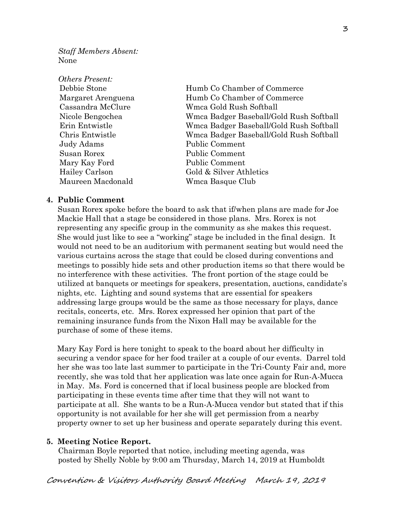*Staff Members Absent:* None

| <i><b>Others Present:</b></i> |                                         |
|-------------------------------|-----------------------------------------|
| Debbie Stone                  | Humb Co Chamber of Commerce             |
| Margaret Arenguena            | Humb Co Chamber of Commerce             |
| Cassandra McClure             | Wmca Gold Rush Softball                 |
| Nicole Bengochea              | Wmca Badger Baseball/Gold Rush Softball |
| Erin Entwistle                | Wmca Badger Baseball/Gold Rush Softball |
| Chris Entwistle               | Wmca Badger Baseball/Gold Rush Softball |
| Judy Adams                    | Public Comment                          |
| Susan Rorex                   | Public Comment                          |
| Mary Kay Ford                 | Public Comment                          |
| Hailey Carlson                | Gold & Silver Athletics                 |
| Maureen Macdonald             | Wmca Basque Club                        |

#### **4. Public Comment**

Susan Rorex spoke before the board to ask that if/when plans are made for Joe Mackie Hall that a stage be considered in those plans. Mrs. Rorex is not representing any specific group in the community as she makes this request. She would just like to see a "working" stage be included in the final design. It would not need to be an auditorium with permanent seating but would need the various curtains across the stage that could be closed during conventions and meetings to possibly hide sets and other production items so that there would be no interference with these activities. The front portion of the stage could be utilized at banquets or meetings for speakers, presentation, auctions, candidate's nights, etc. Lighting and sound systems that are essential for speakers addressing large groups would be the same as those necessary for plays, dance recitals, concerts, etc. Mrs. Rorex expressed her opinion that part of the remaining insurance funds from the Nixon Hall may be available for the purchase of some of these items.

 Mary Kay Ford is here tonight to speak to the board about her difficulty in securing a vendor space for her food trailer at a couple of our events. Darrel told her she was too late last summer to participate in the Tri-County Fair and, more recently, she was told that her application was late once again for Run-A-Mucca in May. Ms. Ford is concerned that if local business people are blocked from participating in these events time after time that they will not want to participate at all. She wants to be a Run-A-Mucca vendor but stated that if this opportunity is not available for her she will get permission from a nearby property owner to set up her business and operate separately during this event.

#### **5. Meeting Notice Report.**

Chairman Boyle reported that notice, including meeting agenda, was posted by Shelly Noble by 9:00 am Thursday, March 14, 2019 at Humboldt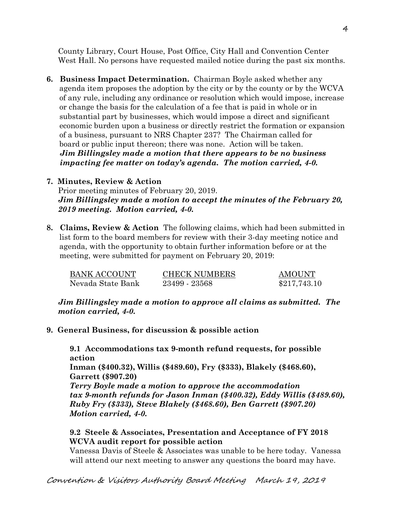County Library, Court House, Post Office, City Hall and Convention Center West Hall. No persons have requested mailed notice during the past six months.

**6. Business Impact Determination.** Chairman Boyle asked whether any agenda item proposes the adoption by the city or by the county or by the WCVA of any rule, including any ordinance or resolution which would impose, increase or change the basis for the calculation of a fee that is paid in whole or in substantial part by businesses, which would impose a direct and significant economic burden upon a business or directly restrict the formation or expansion of a business, pursuant to NRS Chapter 237? The Chairman called for board or public input thereon; there was none. Action will be taken.  *Jim Billingsley made a motion that there appears to be no business impacting fee matter on today's agenda. The motion carried, 4-0.* 

### **7. Minutes, Review & Action**  Prior meeting minutes of February 20, 2019. *Jim Billingsley made a motion to accept the minutes of the February 20, 2019 meeting. Motion carried, 4-0.*

**8. Claims, Review & Action** The following claims, which had been submitted in list form to the board members for review with their 3-day meeting notice and agenda, with the opportunity to obtain further information before or at the meeting, were submitted for payment on February 20, 2019:

| BANK ACCOUNT      | <b>CHECK NUMBERS</b> | <b>AMOUNT</b> |
|-------------------|----------------------|---------------|
| Nevada State Bank | 23499 - 23568        | \$217,743.10  |

*Jim Billingsley made a motion to approve all claims as submitted. The motion carried, 4-0.*

**9. General Business, for discussion & possible action**

**9.1 Accommodations tax 9-month refund requests, for possible action**

**Inman (\$400.32), Willis (\$489.60), Fry (\$333), Blakely (\$468.60), Garrett (\$907.20)**

*Terry Boyle made a motion to approve the accommodation tax 9-month refunds for Jason Inman (\$400.32), Eddy Willis (\$489.60), Ruby Fry (\$333), Steve Blakely (\$468.60), Ben Garrett (\$907.20) Motion carried, 4-0.*

## **9.2 Steele & Associates, Presentation and Acceptance of FY 2018 WCVA audit report for possible action**

Vanessa Davis of Steele & Associates was unable to be here today. Vanessa will attend our next meeting to answer any questions the board may have.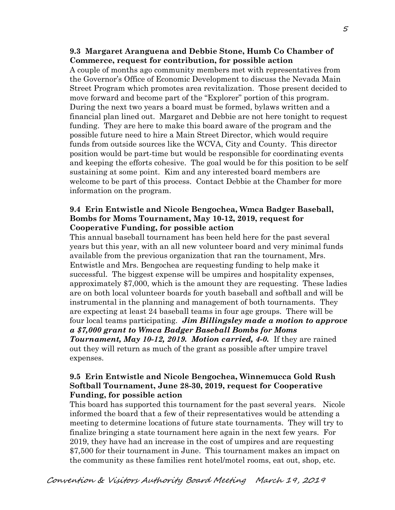#### **9.3 Margaret Aranguena and Debbie Stone, Humb Co Chamber of Commerce, request for contribution, for possible action**

A couple of months ago community members met with representatives from the Governor's Office of Economic Development to discuss the Nevada Main Street Program which promotes area revitalization. Those present decided to move forward and become part of the "Explorer" portion of this program. During the next two years a board must be formed, bylaws written and a financial plan lined out. Margaret and Debbie are not here tonight to request funding. They are here to make this board aware of the program and the possible future need to hire a Main Street Director, which would require funds from outside sources like the WCVA, City and County. This director position would be part-time but would be responsible for coordinating events and keeping the efforts cohesive. The goal would be for this position to be self sustaining at some point. Kim and any interested board members are welcome to be part of this process. Contact Debbie at the Chamber for more information on the program.

#### **9.4 Erin Entwistle and Nicole Bengochea, Wmca Badger Baseball, Bombs for Moms Tournament, May 10-12, 2019, request for Cooperative Funding, for possible action**

This annual baseball tournament has been held here for the past several years but this year, with an all new volunteer board and very minimal funds available from the previous organization that ran the tournament, Mrs. Entwistle and Mrs. Bengochea are requesting funding to help make it successful. The biggest expense will be umpires and hospitality expenses, approximately \$7,000, which is the amount they are requesting. These ladies are on both local volunteer boards for youth baseball and softball and will be instrumental in the planning and management of both tournaments. They are expecting at least 24 baseball teams in four age groups. There will be four local teams participating. *Jim Billingsley made a motion to approve a \$7,000 grant to Wmca Badger Baseball Bombs for Moms Tournament, May 10-12, 2019. Motion carried, 4-0.* If they are rained out they will return as much of the grant as possible after umpire travel expenses.

### **9.5 Erin Entwistle and Nicole Bengochea, Winnemucca Gold Rush Softball Tournament, June 28-30, 2019, request for Cooperative Funding, for possible action**

This board has supported this tournament for the past several years. Nicole informed the board that a few of their representatives would be attending a meeting to determine locations of future state tournaments. They will try to finalize bringing a state tournament here again in the next few years. For 2019, they have had an increase in the cost of umpires and are requesting \$7,500 for their tournament in June. This tournament makes an impact on the community as these families rent hotel/motel rooms, eat out, shop, etc.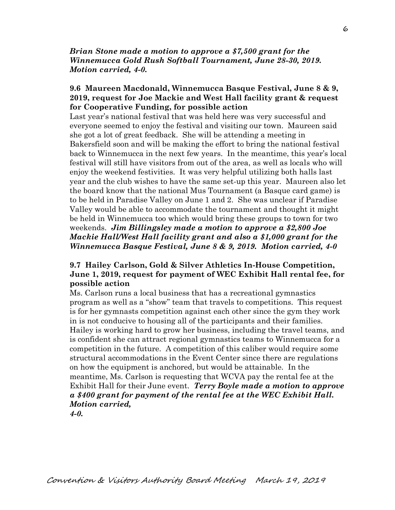*Brian Stone made a motion to approve a \$7,500 grant for the Winnemucca Gold Rush Softball Tournament, June 28-30, 2019. Motion carried, 4-0.* 

### **9.6 Maureen Macdonald, Winnemucca Basque Festival, June 8 & 9, 2019, request for Joe Mackie and West Hall facility grant & request for Cooperative Funding, for possible action**

Last year's national festival that was held here was very successful and everyone seemed to enjoy the festival and visiting our town. Maureen said she got a lot of great feedback. She will be attending a meeting in Bakersfield soon and will be making the effort to bring the national festival back to Winnemucca in the next few years. In the meantime, this year's local festival will still have visitors from out of the area, as well as locals who will enjoy the weekend festivities. It was very helpful utilizing both halls last year and the club wishes to have the same set-up this year. Maureen also let the board know that the national Mus Tournament (a Basque card game) is to be held in Paradise Valley on June 1 and 2. She was unclear if Paradise Valley would be able to accommodate the tournament and thought it might be held in Winnemucca too which would bring these groups to town for two weekends. *Jim Billingsley made a motion to approve a \$2,800 Joe Mackie Hall/West Hall facility grant and also a \$1,000 grant for the Winnemucca Basque Festival, June 8 & 9, 2019. Motion carried, 4-0*

### **9.7 Hailey Carlson, Gold & Silver Athletics In-House Competition, June 1, 2019, request for payment of WEC Exhibit Hall rental fee, for possible action**

Ms. Carlson runs a local business that has a recreational gymnastics program as well as a "show" team that travels to competitions. This request is for her gymnasts competition against each other since the gym they work in is not conducive to housing all of the participants and their families. Hailey is working hard to grow her business, including the travel teams, and is confident she can attract regional gymnastics teams to Winnemucca for a competition in the future. A competition of this caliber would require some structural accommodations in the Event Center since there are regulations on how the equipment is anchored, but would be attainable. In the meantime, Ms. Carlson is requesting that WCVA pay the rental fee at the Exhibit Hall for their June event. *Terry Boyle made a motion to approve a \$400 grant for payment of the rental fee at the WEC Exhibit Hall. Motion carried,* 

*4-0.*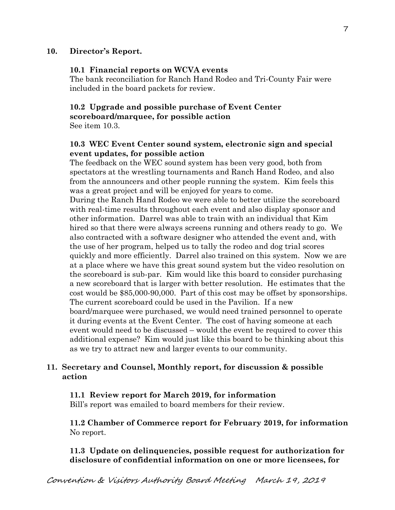#### **10. Director's Report.**

#### **10.1 Financial reports on WCVA events**

The bank reconciliation for Ranch Hand Rodeo and Tri-County Fair were included in the board packets for review.

#### **10.2 Upgrade and possible purchase of Event Center scoreboard/marquee, for possible action** See item 10.3.

### **10.3 WEC Event Center sound system, electronic sign and special event updates, for possible action**

The feedback on the WEC sound system has been very good, both from spectators at the wrestling tournaments and Ranch Hand Rodeo, and also from the announcers and other people running the system. Kim feels this was a great project and will be enjoyed for years to come.

During the Ranch Hand Rodeo we were able to better utilize the scoreboard with real-time results throughout each event and also display sponsor and other information. Darrel was able to train with an individual that Kim hired so that there were always screens running and others ready to go. We also contracted with a software designer who attended the event and, with the use of her program, helped us to tally the rodeo and dog trial scores quickly and more efficiently. Darrel also trained on this system. Now we are at a place where we have this great sound system but the video resolution on the scoreboard is sub-par. Kim would like this board to consider purchasing a new scoreboard that is larger with better resolution. He estimates that the cost would be \$85,000-90,000. Part of this cost may be offset by sponsorships. The current scoreboard could be used in the Pavilion. If a new board/marquee were purchased, we would need trained personnel to operate it during events at the Event Center. The cost of having someone at each event would need to be discussed – would the event be required to cover this additional expense? Kim would just like this board to be thinking about this as we try to attract new and larger events to our community.

### **11. Secretary and Counsel, Monthly report, for discussion & possible action**

#### **11.1 Review report for March 2019, for information**

Bill's report was emailed to board members for their review.

**11.2 Chamber of Commerce report for February 2019, for information** No report.

**11.3 Update on delinquencies, possible request for authorization for disclosure of confidential information on one or more licensees, for**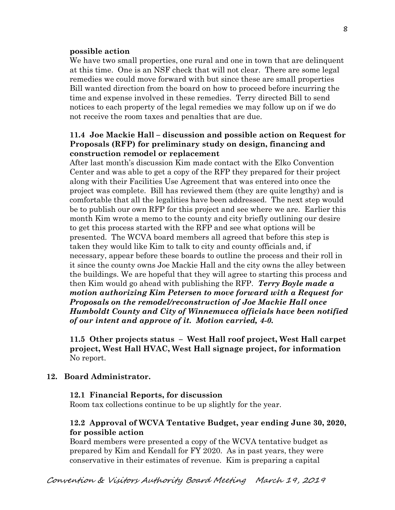#### **possible action**

We have two small properties, one rural and one in town that are delinguent at this time. One is an NSF check that will not clear. There are some legal remedies we could move forward with but since these are small properties Bill wanted direction from the board on how to proceed before incurring the time and expense involved in these remedies. Terry directed Bill to send notices to each property of the legal remedies we may follow up on if we do not receive the room taxes and penalties that are due.

#### **11.4 Joe Mackie Hall – discussion and possible action on Request for Proposals (RFP) for preliminary study on design, financing and construction remodel or replacement**

After last month's discussion Kim made contact with the Elko Convention Center and was able to get a copy of the RFP they prepared for their project along with their Facilities Use Agreement that was entered into once the project was complete. Bill has reviewed them (they are quite lengthy) and is comfortable that all the legalities have been addressed. The next step would be to publish our own RFP for this project and see where we are. Earlier this month Kim wrote a memo to the county and city briefly outlining our desire to get this process started with the RFP and see what options will be presented. The WCVA board members all agreed that before this step is taken they would like Kim to talk to city and county officials and, if necessary, appear before these boards to outline the process and their roll in it since the county owns Joe Mackie Hall and the city owns the alley between the buildings. We are hopeful that they will agree to starting this process and then Kim would go ahead with publishing the RFP. *Terry Boyle made a motion authorizing Kim Petersen to move forward with a Request for Proposals on the remodel/reconstruction of Joe Mackie Hall once Humboldt County and City of Winnemucca officials have been notified of our intent and approve of it. Motion carried, 4-0.* 

**11.5 Other projects status – West Hall roof project, West Hall carpet project, West Hall HVAC, West Hall signage project, for information** No report.

#### **12. Board Administrator.**

#### **12.1 Financial Reports, for discussion**

Room tax collections continue to be up slightly for the year.

#### **12.2 Approval of WCVA Tentative Budget, year ending June 30, 2020, for possible action**

Board members were presented a copy of the WCVA tentative budget as prepared by Kim and Kendall for FY 2020. As in past years, they were conservative in their estimates of revenue. Kim is preparing a capital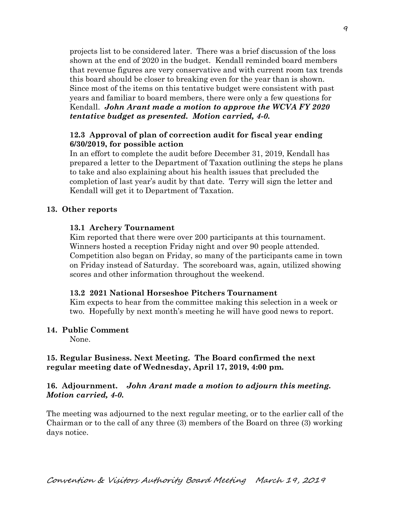projects list to be considered later. There was a brief discussion of the loss shown at the end of 2020 in the budget. Kendall reminded board members that revenue figures are very conservative and with current room tax trends this board should be closer to breaking even for the year than is shown. Since most of the items on this tentative budget were consistent with past years and familiar to board members, there were only a few questions for Kendall. *John Arant made a motion to approve the WCVA FY 2020 tentative budget as presented. Motion carried, 4-0.* 

### **12.3 Approval of plan of correction audit for fiscal year ending 6/30/2019, for possible action**

In an effort to complete the audit before December 31, 2019, Kendall has prepared a letter to the Department of Taxation outlining the steps he plans to take and also explaining about his health issues that precluded the completion of last year's audit by that date. Terry will sign the letter and Kendall will get it to Department of Taxation.

### **13. Other reports**

## **13.1 Archery Tournament**

Kim reported that there were over 200 participants at this tournament. Winners hosted a reception Friday night and over 90 people attended. Competition also began on Friday, so many of the participants came in town on Friday instead of Saturday. The scoreboard was, again, utilized showing scores and other information throughout the weekend.

### **13.2 2021 National Horseshoe Pitchers Tournament**

Kim expects to hear from the committee making this selection in a week or two. Hopefully by next month's meeting he will have good news to report.

### **14. Public Comment**

None.

## **15. Regular Business. Next Meeting. The Board confirmed the next regular meeting date of Wednesday, April 17, 2019, 4:00 pm.**

## **16. Adjournment.** *John Arant made a motion to adjourn this meeting. Motion carried, 4-0.*

The meeting was adjourned to the next regular meeting, or to the earlier call of the Chairman or to the call of any three (3) members of the Board on three (3) working days notice.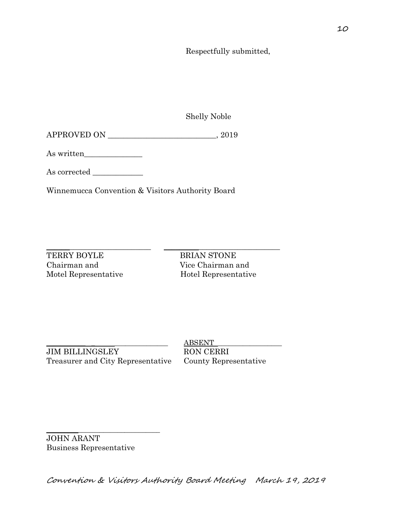Respectfully submitted,

Shelly Noble

APPROVED ON \_\_\_\_\_\_\_\_\_\_\_\_\_\_\_\_\_\_\_\_\_\_\_\_\_\_\_\_, 2019

As written\_\_\_\_\_\_\_\_\_\_\_\_\_\_\_

As corrected \_\_\_\_\_\_\_\_\_\_\_\_\_

Winnemucca Convention & Visitors Authority Board

TERRY BOYLE BRIAN STONE Chairman and Vice Chairman and

\_\_\_\_\_\_\_\_\_\_\_\_\_\_\_\_\_\_\_\_\_\_\_\_\_\_\_ \_\_\_\_\_\_\_\_\_\_\_\_\_\_\_\_\_\_\_\_\_\_\_\_\_\_\_\_\_\_ Motel Representative Hotel Representative

JIM BILLINGSLEY RON CERRI Treasurer and City Representative County Representative

 $ABSENT$ 

 $\overline{\phantom{a}}$  , and the set of the set of the set of the set of the set of the set of the set of the set of the set of the set of the set of the set of the set of the set of the set of the set of the set of the set of the s JOHN ARANT Business Representative